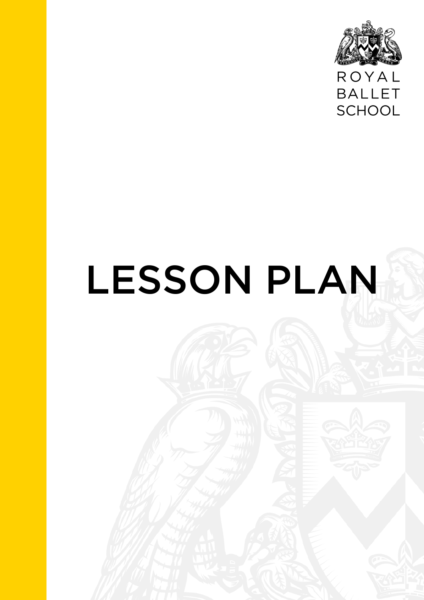

ROYAL **BALLET** SCHOOL

## LESSON PLAN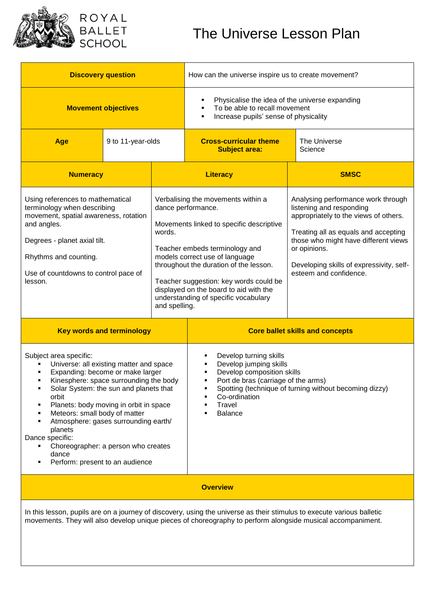

### The Universe Lesson Plan

| <b>Discovery question</b>                                                                                                                                                                                                                                                                                                                                                                                                                        |                   |               | How can the universe inspire us to create movement?                                                                                                                                                                                                                                                                                            |                                                                                                                                                                                                                                                                               |  |  |  |  |
|--------------------------------------------------------------------------------------------------------------------------------------------------------------------------------------------------------------------------------------------------------------------------------------------------------------------------------------------------------------------------------------------------------------------------------------------------|-------------------|---------------|------------------------------------------------------------------------------------------------------------------------------------------------------------------------------------------------------------------------------------------------------------------------------------------------------------------------------------------------|-------------------------------------------------------------------------------------------------------------------------------------------------------------------------------------------------------------------------------------------------------------------------------|--|--|--|--|
| <b>Movement objectives</b>                                                                                                                                                                                                                                                                                                                                                                                                                       |                   |               | Physicalise the idea of the universe expanding<br>٠<br>To be able to recall movement<br>Increase pupils' sense of physicality                                                                                                                                                                                                                  |                                                                                                                                                                                                                                                                               |  |  |  |  |
| Age                                                                                                                                                                                                                                                                                                                                                                                                                                              | 9 to 11-year-olds |               | <b>Cross-curricular theme</b><br><b>Subject area:</b>                                                                                                                                                                                                                                                                                          | The Universe<br>Science                                                                                                                                                                                                                                                       |  |  |  |  |
| <b>Numeracy</b>                                                                                                                                                                                                                                                                                                                                                                                                                                  |                   |               | <b>Literacy</b>                                                                                                                                                                                                                                                                                                                                | <b>SMSC</b>                                                                                                                                                                                                                                                                   |  |  |  |  |
| Using references to mathematical<br>terminology when describing<br>movement, spatial awareness, rotation<br>and angles.<br>words.<br>Degrees - planet axial tilt.<br>Rhythms and counting.<br>Use of countdowns to control pace of<br>lesson.                                                                                                                                                                                                    |                   | and spelling. | Verbalising the movements within a<br>dance performance.<br>Movements linked to specific descriptive<br>Teacher embeds terminology and<br>models correct use of language<br>throughout the duration of the lesson.<br>Teacher suggestion: key words could be<br>displayed on the board to aid with the<br>understanding of specific vocabulary | Analysing performance work through<br>listening and responding<br>appropriately to the views of others.<br>Treating all as equals and accepting<br>those who might have different views<br>or opinions.<br>Developing skills of expressivity, self-<br>esteem and confidence. |  |  |  |  |
| <b>Key words and terminology</b>                                                                                                                                                                                                                                                                                                                                                                                                                 |                   |               | <b>Core ballet skills and concepts</b>                                                                                                                                                                                                                                                                                                         |                                                                                                                                                                                                                                                                               |  |  |  |  |
| Subject area specific:<br>Universe: all existing matter and space<br>Expanding: become or make larger<br>Kinesphere: space surrounding the body<br>Solar System: the sun and planets that<br>٠<br>orbit<br>Planets: body moving in orbit in space<br>п<br>Meteors: small body of matter<br>Atmosphere: gases surrounding earth/<br>planets<br>Dance specific:<br>Choreographer: a person who creates<br>dance<br>Perform: present to an audience |                   |               | Develop turning skills<br>Develop jumping skills<br>Develop composition skills<br>Port de bras (carriage of the arms)<br>Spotting (technique of turning without becoming dizzy)<br>Co-ordination<br>Travel<br><b>Balance</b>                                                                                                                   |                                                                                                                                                                                                                                                                               |  |  |  |  |
| <b>Overview</b>                                                                                                                                                                                                                                                                                                                                                                                                                                  |                   |               |                                                                                                                                                                                                                                                                                                                                                |                                                                                                                                                                                                                                                                               |  |  |  |  |
| In this lesson, pupils are on a journey of discovery, using the universe as their stimulus to execute various balletic<br>movements. They will also develop unique pieces of choreography to perform alongside musical accompaniment.                                                                                                                                                                                                            |                   |               |                                                                                                                                                                                                                                                                                                                                                |                                                                                                                                                                                                                                                                               |  |  |  |  |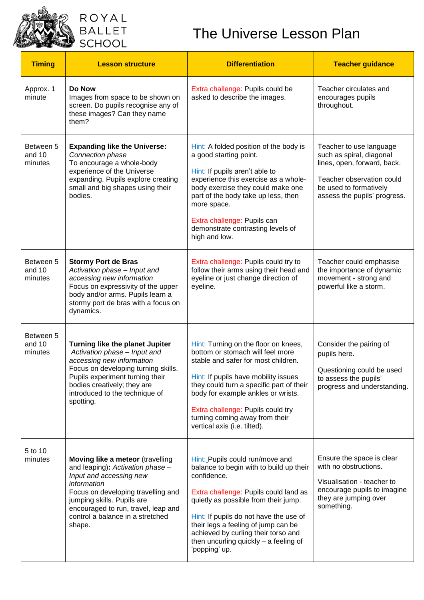



## The Universe Lesson Plan

| <b>Timing</b>                  | <b>Lesson structure</b>                                                                                                                                                                                                                                                 | <b>Differentiation</b>                                                                                                                                                                                                                                                                                                                                         | <b>Teacher guidance</b>                                                                                                                                                   |
|--------------------------------|-------------------------------------------------------------------------------------------------------------------------------------------------------------------------------------------------------------------------------------------------------------------------|----------------------------------------------------------------------------------------------------------------------------------------------------------------------------------------------------------------------------------------------------------------------------------------------------------------------------------------------------------------|---------------------------------------------------------------------------------------------------------------------------------------------------------------------------|
| Approx. 1<br>minute            | Do Now<br>Images from space to be shown on<br>screen. Do pupils recognise any of<br>these images? Can they name<br>them?                                                                                                                                                | Extra challenge: Pupils could be<br>asked to describe the images.                                                                                                                                                                                                                                                                                              | Teacher circulates and<br>encourages pupils<br>throughout.                                                                                                                |
| Between 5<br>and 10<br>minutes | <b>Expanding like the Universe:</b><br>Connection phase<br>To encourage a whole-body<br>experience of the Universe<br>expanding. Pupils explore creating<br>small and big shapes using their<br>bodies.                                                                 | Hint: A folded position of the body is<br>a good starting point.<br>Hint: If pupils aren't able to<br>experience this exercise as a whole-<br>body exercise they could make one<br>part of the body take up less, then<br>more space.<br>Extra challenge: Pupils can<br>demonstrate contrasting levels of<br>high and low.                                     | Teacher to use language<br>such as spiral, diagonal<br>lines, open, forward, back.<br>Teacher observation could<br>be used to formatively<br>assess the pupils' progress. |
| Between 5<br>and 10<br>minutes | <b>Stormy Port de Bras</b><br>Activation phase - Input and<br>accessing new information<br>Focus on expressivity of the upper<br>body and/or arms. Pupils learn a<br>stormy port de bras with a focus on<br>dynamics.                                                   | Extra challenge: Pupils could try to<br>follow their arms using their head and<br>eyeline or just change direction of<br>eyeline.                                                                                                                                                                                                                              | Teacher could emphasise<br>the importance of dynamic<br>movement - strong and<br>powerful like a storm.                                                                   |
| Between 5<br>and 10<br>minutes | Turning like the planet Jupiter<br>Activation phase - Input and<br>accessing new information<br>Focus on developing turning skills.<br>Pupils experiment turning their<br>bodies creatively; they are<br>introduced to the technique of<br>spotting.                    | Hint: Turning on the floor on knees,<br>bottom or stomach will feel more<br>stable and safer for most children.<br>Hint: If pupils have mobility issues<br>they could turn a specific part of their<br>body for example ankles or wrists.<br>Extra challenge: Pupils could try<br>turning coming away from their<br>vertical axis (i.e. tilted).               | Consider the pairing of<br>pupils here.<br>Questioning could be used<br>to assess the pupils'<br>progress and understanding.                                              |
| 5 to 10<br>minutes             | Moving like a meteor (travelling<br>and leaping): Activation phase -<br>Input and accessing new<br>information<br>Focus on developing travelling and<br>jumping skills. Pupils are<br>encouraged to run, travel, leap and<br>control a balance in a stretched<br>shape. | Hint: Pupils could run/move and<br>balance to begin with to build up their<br>confidence.<br>Extra challenge: Pupils could land as<br>quietly as possible from their jump.<br>Hint: If pupils do not have the use of<br>their legs a feeling of jump can be<br>achieved by curling their torso and<br>then uncurling quickly $-$ a feeling of<br>'popping' up. | Ensure the space is clear<br>with no obstructions.<br>Visualisation - teacher to<br>encourage pupils to imagine<br>they are jumping over<br>something.                    |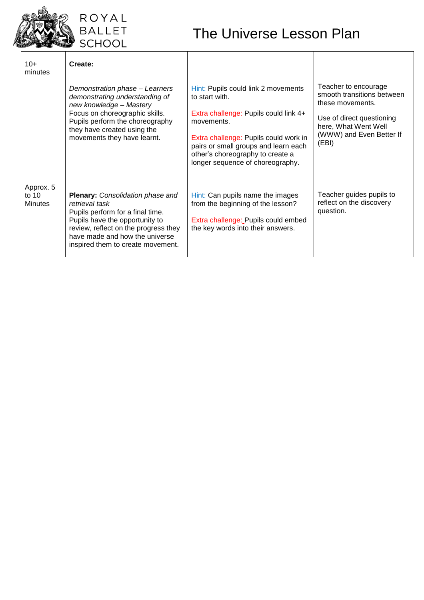



## The Universe Lesson Plan

| $10+$<br>minutes                       | Create:                                                                                                                                                                                                                                        |                                                                                                                                                                                                                                                                       |                                                                                                                                                                  |
|----------------------------------------|------------------------------------------------------------------------------------------------------------------------------------------------------------------------------------------------------------------------------------------------|-----------------------------------------------------------------------------------------------------------------------------------------------------------------------------------------------------------------------------------------------------------------------|------------------------------------------------------------------------------------------------------------------------------------------------------------------|
|                                        | Demonstration phase - Learners<br>demonstrating understanding of<br>new knowledge - Mastery<br>Focus on choreographic skills.<br>Pupils perform the choreography<br>they have created using the<br>movements they have learnt.                 | Hint: Pupils could link 2 movements<br>to start with.<br>Extra challenge: Pupils could link 4+<br>movements.<br>Extra challenge: Pupils could work in<br>pairs or small groups and learn each<br>other's choreography to create a<br>longer sequence of choreography. | Teacher to encourage<br>smooth transitions between<br>these movements.<br>Use of direct questioning<br>here, What Went Well<br>(WWW) and Even Better If<br>(EBI) |
| Approx. 5<br>to $10$<br><b>Minutes</b> | <b>Plenary:</b> Consolidation phase and<br>retrieval task<br>Pupils perform for a final time.<br>Pupils have the opportunity to<br>review, reflect on the progress they<br>have made and how the universe<br>inspired them to create movement. | Hint: Can pupils name the images<br>from the beginning of the lesson?<br>Extra challenge: Pupils could embed<br>the key words into their answers.                                                                                                                     | Teacher guides pupils to<br>reflect on the discovery<br>question.                                                                                                |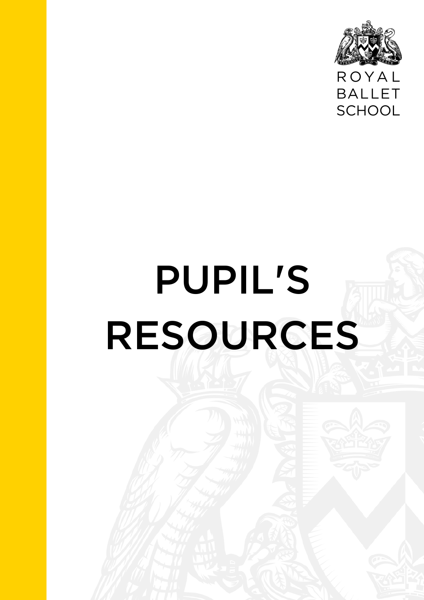

ROYAL **BALLET** SCHOOL

# PUPIL'S RESOURCES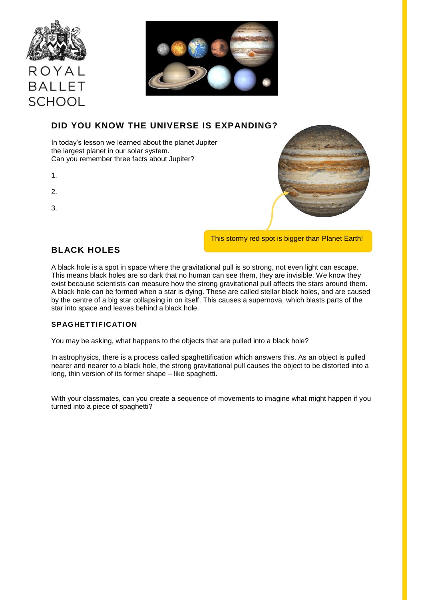

**SCHOOL** 



#### **DID YOU KNOW THE UNIVERSE IS EXPANDING?**

In today's lesson we learned about the planet Jupiter the largest planet in our solar system. Can you remember three facts about Jupiter?

- 1.
- 2.
- 
- 3.

This stormy red spot is bigger than Planet Earth!

#### **BLACK HOLES**

A black hole is a spot in space where the gravitational pull is so strong, not even light can escape. This means black holes are so dark that no human can see them, they are invisible. We know they exist because scientists can measure how the strong gravitational pull affects the stars around them. A black hole can be formed when a star is dying. These are called stellar black holes, and are caused by the centre of a big star collapsing in on itself. This causes a supernova, which blasts parts of the star into space and leaves behind a black hole.

#### **SPAGHETTIFICATION**

You may be asking, what happens to the objects that are pulled into a black hole?

In astrophysics, there is a process called spaghettification which answers this. As an object is pulled nearer and nearer to a black hole, the strong gravitational pull causes the object to be distorted into a long, thin version of its former shape – like spaghetti.

With your classmates, can you create a sequence of movements to imagine what might happen if you turned into a piece of spaghetti?